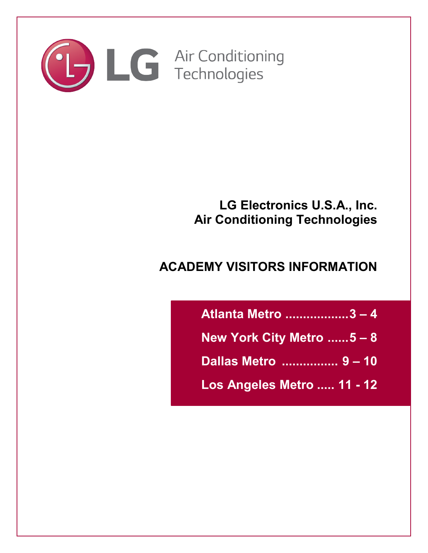

# **LG Electronics U.S.A., Inc. Air Conditioning Technologies**

# **ACADEMY VISITORS INFORMATION**

| Atlanta Metro 3-4          |  |
|----------------------------|--|
| New York City Metro $5-8$  |  |
| Dallas Metro  9 - 10       |  |
| Los Angeles Metro  11 - 12 |  |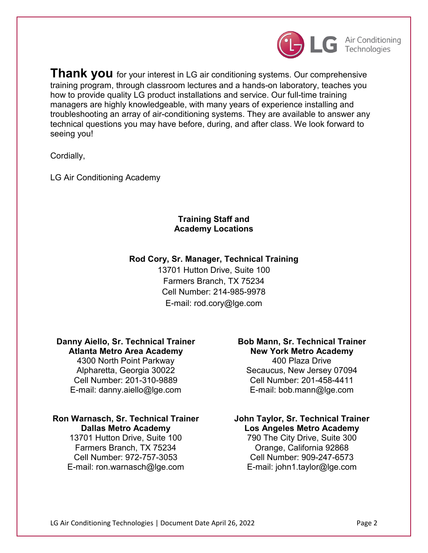

**Thank you** for your interest in LG air conditioning systems. Our comprehensive training program, through classroom lectures and a hands-on laboratory, teaches you how to provide quality LG product installations and service. Our full-time training managers are highly knowledgeable, with many years of experience installing and troubleshooting an array of air-conditioning systems. They are available to answer any technical questions you may have before, during, and after class. We look forward to seeing you!

Cordially,

LG Air Conditioning Academy

# **Training Staff and Academy Locations**

# **Rod Cory, Sr. Manager, Technical Training**

13701 Hutton Drive, Suite 100 Farmers Branch, TX 75234 Cell Number: 214-985-9978 E-mail: rod.cory@lge.com

#### **Danny Aiello, Sr. Technical Trainer Atlanta Metro Area Academy**

4300 North Point Parkway Alpharetta, Georgia 30022 Cell Number: 201-310-9889 E-mail: danny.aiello@lge.com

# **Ron Warnasch, Sr. Technical Trainer Dallas Metro Academy**

13701 Hutton Drive, Suite 100 Farmers Branch, TX 75234 Cell Number: 972-757-3053 E-mail: ron.warnasch@lge.com

# **Bob Mann, Sr. Technical Trainer New York Metro Academy** 400 Plaza Drive

Secaucus, New Jersey 07094 Cell Number: 201-458-4411 E-mail: bob.mann@lge.com

# **John Taylor, Sr. Technical Trainer Los Angeles Metro Academy** 790 The City Drive, Suite 300 Orange, California 92868 Cell Number: 909-247-6573 E-mail: john1.taylor@lge.com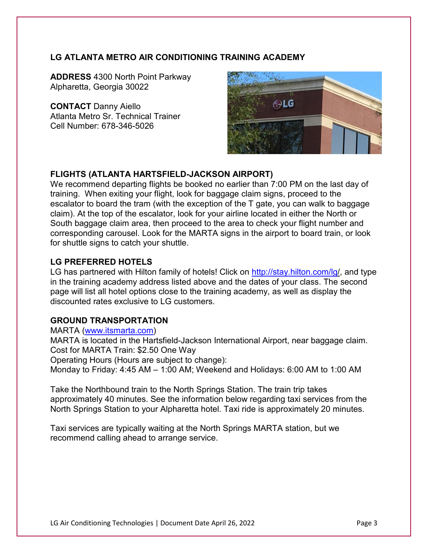# **LG ATLANTA METRO AIR CONDITIONING TRAINING ACADEMY**

**ADDRESS** 4300 North Point Parkway Alpharetta, Georgia 30022

**CONTACT** Danny Aiello Atlanta Metro Sr. Technical Trainer Cell Number: 678-346-5026



# **FLIGHTS (ATLANTA HARTSFIELD-JACKSON AIRPORT)**

We recommend departing flights be booked no earlier than 7:00 PM on the last day of training. When exiting your flight, look for baggage claim signs, proceed to the escalator to board the tram (with the exception of the T gate, you can walk to baggage claim). At the top of the escalator, look for your airline located in either the North or South baggage claim area, then proceed to the area to check your flight number and corresponding carousel. Look for the MARTA signs in the airport to board train, or look for shuttle signs to catch your shuttle.

### **LG PREFERRED HOTELS**

LG has partnered with Hilton family of hotels! Click on [http://stay.hilton.com/lg/](file://A1-ANF-SMB-379a.cloudpc.lge.net/VA1-UL-USER01/jacki.jaynes/2022/2022%20Training/stay.hilton.com/lg), and type in the training academy address listed above and the dates of your class. The second page will list all hotel options close to the training academy, as well as display the discounted rates exclusive to LG customers.

#### **GROUND TRANSPORTATION**

MARTA [\(www.itsmarta.com\)](file://A1-ANF-SMB-379a.cloudpc.lge.net/VA1-UL-USER01/jacki.jaynes/2022/2022%20Training/www.itsmarta.com)

MARTA is located in the Hartsfield-Jackson International Airport, near baggage claim. Cost for MARTA Train: \$2.50 One Way

Operating Hours (Hours are subject to change):

Monday to Friday: 4:45 AM – 1:00 AM; Weekend and Holidays: 6:00 AM to 1:00 AM

Take the Northbound train to the North Springs Station. The train trip takes approximately 40 minutes. See the information below regarding taxi services from the North Springs Station to your Alpharetta hotel. Taxi ride is approximately 20 minutes.

Taxi services are typically waiting at the North Springs MARTA station, but we recommend calling ahead to arrange service.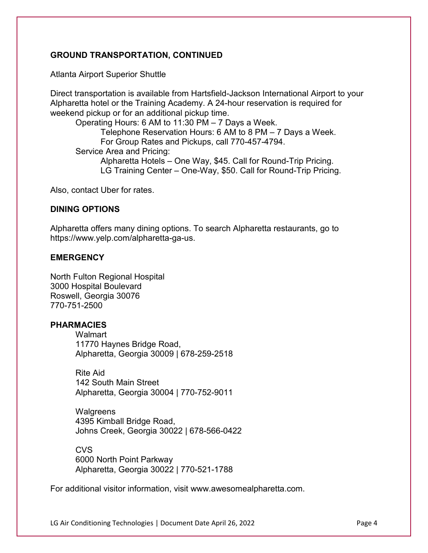# **GROUND TRANSPORTATION, CONTINUED**

Atlanta Airport Superior Shuttle

Direct transportation is available from Hartsfield-Jackson International Airport to your Alpharetta hotel or the Training Academy. A 24-hour reservation is required for weekend pickup or for an additional pickup time.

Operating Hours: 6 AM to 11:30 PM – 7 Days a Week. Telephone Reservation Hours: 6 AM to 8 PM – 7 Days a Week. For Group Rates and Pickups, call 770-457-4794. Service Area and Pricing: Alpharetta Hotels – One Way, \$45. Call for Round-Trip Pricing. LG Training Center – One-Way, \$50. Call for Round-Trip Pricing.

Also, contact Uber for rates.

#### **DINING OPTIONS**

Alpharetta offers many dining options. To search Alpharetta restaurants, go to https://www.yelp.com/alpharetta-ga-us.

### **EMERGENCY**

North Fulton Regional Hospital 3000 Hospital Boulevard Roswell, Georgia 30076 770-751-2500

#### **PHARMACIES**

**Walmart** 11770 Haynes Bridge Road, Alpharetta, Georgia 30009 | 678-259-2518

Rite Aid 142 South Main Street Alpharetta, Georgia 30004 | 770-752-9011

**Walgreens** 4395 Kimball Bridge Road, Johns Creek, Georgia 30022 | 678-566-0422

**CVS** 6000 North Point Parkway Alpharetta, Georgia 30022 | 770-521-1788

For additional visitor information, visit www.awesomealpharetta.com.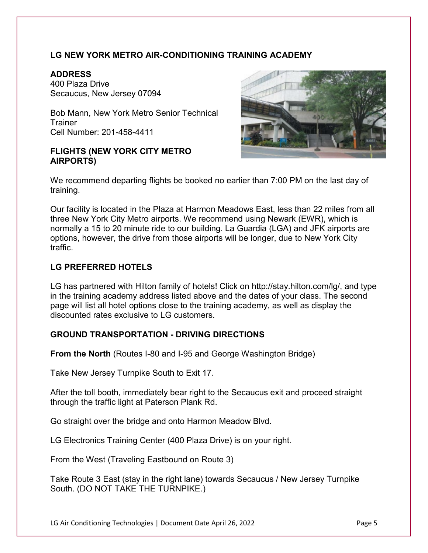# **LG NEW YORK METRO AIR-CONDITIONING TRAINING ACADEMY**

## **ADDRESS**

400 Plaza Drive Secaucus, New Jersey 07094

Bob Mann, New York Metro Senior Technical **Trainer** Cell Number: 201-458-4411

## **FLIGHTS (NEW YORK CITY METRO AIRPORTS)**



We recommend departing flights be booked no earlier than 7:00 PM on the last day of training.

Our facility is located in the Plaza at Harmon Meadows East, less than 22 miles from all three New York City Metro airports. We recommend using Newark (EWR), which is normally a 15 to 20 minute ride to our building. La Guardia (LGA) and JFK airports are options, however, the drive from those airports will be longer, due to New York City traffic.

# **LG PREFERRED HOTELS**

LG has partnered with Hilton family of hotels! Click on http://stay.hilton.com/lg/, and type in the training academy address listed above and the dates of your class. The second page will list all hotel options close to the training academy, as well as display the discounted rates exclusive to LG customers.

# **GROUND TRANSPORTATION - DRIVING DIRECTIONS**

**From the North** (Routes I-80 and I-95 and George Washington Bridge)

Take New Jersey Turnpike South to Exit 17.

After the toll booth, immediately bear right to the Secaucus exit and proceed straight through the traffic light at Paterson Plank Rd.

Go straight over the bridge and onto Harmon Meadow Blvd.

LG Electronics Training Center (400 Plaza Drive) is on your right.

From the West (Traveling Eastbound on Route 3)

Take Route 3 East (stay in the right lane) towards Secaucus / New Jersey Turnpike South. (DO NOT TAKE THE TURNPIKE.)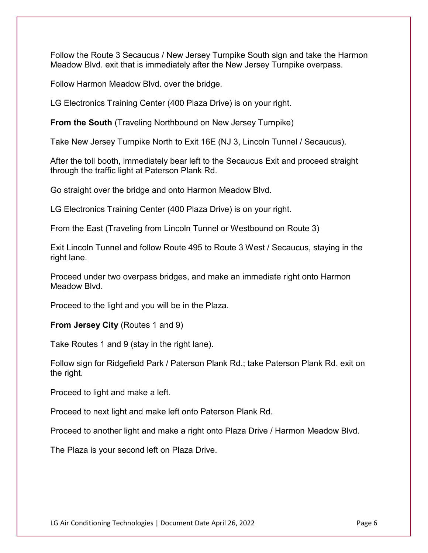Follow the Route 3 Secaucus / New Jersey Turnpike South sign and take the Harmon Meadow Blvd. exit that is immediately after the New Jersey Turnpike overpass.

Follow Harmon Meadow Blvd. over the bridge.

LG Electronics Training Center (400 Plaza Drive) is on your right.

**From the South** (Traveling Northbound on New Jersey Turnpike)

Take New Jersey Turnpike North to Exit 16E (NJ 3, Lincoln Tunnel / Secaucus).

After the toll booth, immediately bear left to the Secaucus Exit and proceed straight through the traffic light at Paterson Plank Rd.

Go straight over the bridge and onto Harmon Meadow Blvd.

LG Electronics Training Center (400 Plaza Drive) is on your right.

From the East (Traveling from Lincoln Tunnel or Westbound on Route 3)

Exit Lincoln Tunnel and follow Route 495 to Route 3 West / Secaucus, staying in the right lane.

Proceed under two overpass bridges, and make an immediate right onto Harmon Meadow Blvd.

Proceed to the light and you will be in the Plaza.

**From Jersey City** (Routes 1 and 9)

Take Routes 1 and 9 (stay in the right lane).

Follow sign for Ridgefield Park / Paterson Plank Rd.; take Paterson Plank Rd. exit on the right.

Proceed to light and make a left.

Proceed to next light and make left onto Paterson Plank Rd.

Proceed to another light and make a right onto Plaza Drive / Harmon Meadow Blvd.

The Plaza is your second left on Plaza Drive.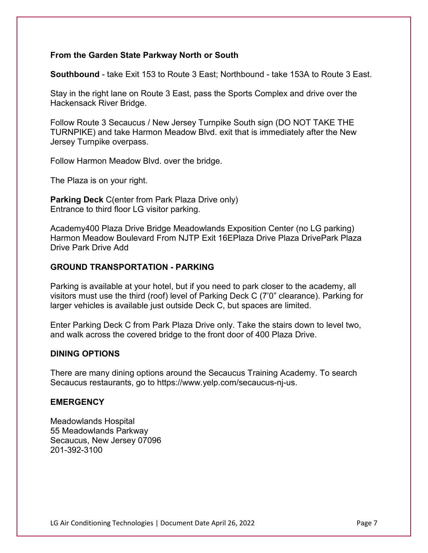### **From the Garden State Parkway North or South**

**Southbound** - take Exit 153 to Route 3 East; Northbound - take 153A to Route 3 East.

Stay in the right lane on Route 3 East, pass the Sports Complex and drive over the Hackensack River Bridge.

Follow Route 3 Secaucus / New Jersey Turnpike South sign (DO NOT TAKE THE TURNPIKE) and take Harmon Meadow Blvd. exit that is immediately after the New Jersey Turnpike overpass.

Follow Harmon Meadow Blvd. over the bridge.

The Plaza is on your right.

**Parking Deck** C(enter from Park Plaza Drive only) Entrance to third floor LG visitor parking.

Academy400 Plaza Drive Bridge Meadowlands Exposition Center (no LG parking) Harmon Meadow Boulevard From NJTP Exit 16EPlaza Drive Plaza DrivePark Plaza Drive Park Drive Add

#### **GROUND TRANSPORTATION - PARKING**

Parking is available at your hotel, but if you need to park closer to the academy, all visitors must use the third (roof) level of Parking Deck C (7'0" clearance). Parking for larger vehicles is available just outside Deck C, but spaces are limited.

Enter Parking Deck C from Park Plaza Drive only. Take the stairs down to level two, and walk across the covered bridge to the front door of 400 Plaza Drive.

#### **DINING OPTIONS**

There are many dining options around the Secaucus Training Academy. To search Secaucus restaurants, go to https://www.yelp.com/secaucus-nj-us.

#### **EMERGENCY**

Meadowlands Hospital 55 Meadowlands Parkway Secaucus, New Jersey 07096 201-392-3100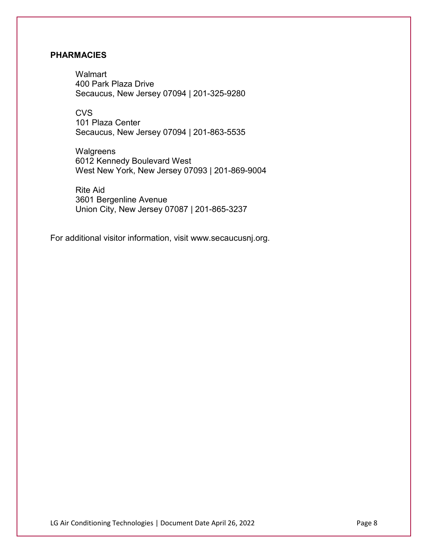### **PHARMACIES**

**Walmart** 400 Park Plaza Drive Secaucus, New Jersey 07094 | 201-325-9280

**CVS** 101 Plaza Center Secaucus, New Jersey 07094 | 201-863-5535

**Walgreens** 6012 Kennedy Boulevard West West New York, New Jersey 07093 | 201-869-9004

Rite Aid 3601 Bergenline Avenue Union City, New Jersey 07087 | 201-865-3237

For additional visitor information, visit www.secaucusnj.org.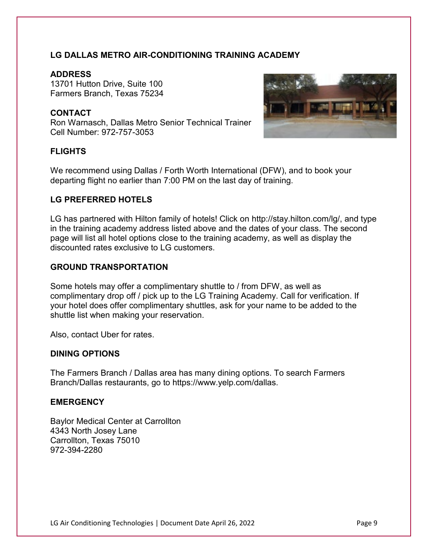# **LG DALLAS METRO AIR-CONDITIONING TRAINING ACADEMY**

## **ADDRESS**

13701 Hutton Drive, Suite 100 Farmers Branch, Texas 75234

# **CONTACT**

Ron Warnasch, Dallas Metro Senior Technical Trainer Cell Number: 972-757-3053



# **FLIGHTS**

We recommend using Dallas / Forth Worth International (DFW), and to book your departing flight no earlier than 7:00 PM on the last day of training.

### **LG PREFERRED HOTELS**

LG has partnered with Hilton family of hotels! Click on http://stay.hilton.com/lg/, and type in the training academy address listed above and the dates of your class. The second page will list all hotel options close to the training academy, as well as display the discounted rates exclusive to LG customers.

### **GROUND TRANSPORTATION**

Some hotels may offer a complimentary shuttle to / from DFW, as well as complimentary drop off / pick up to the LG Training Academy. Call for verification. If your hotel does offer complimentary shuttles, ask for your name to be added to the shuttle list when making your reservation.

Also, contact Uber for rates.

#### **DINING OPTIONS**

The Farmers Branch / Dallas area has many dining options. To search Farmers Branch/Dallas restaurants, go to https://www.yelp.com/dallas.

#### **EMERGENCY**

Baylor Medical Center at Carrollton 4343 North Josey Lane Carrollton, Texas 75010 972-394-2280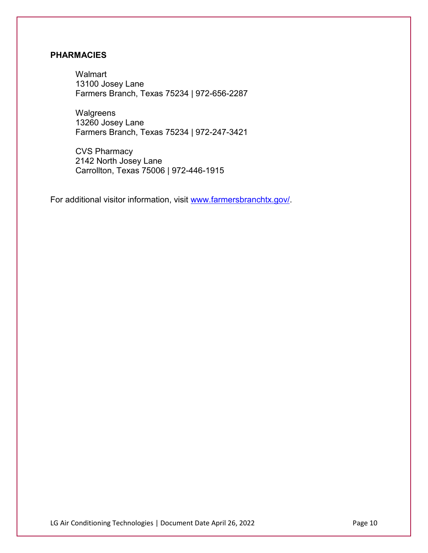# **PHARMACIES**

**Walmart** 13100 Josey Lane Farmers Branch, Texas 75234 | 972-656-2287

**Walgreens** 13260 Josey Lane Farmers Branch, Texas 75234 | 972-247-3421

CVS Pharmacy 2142 North Josey Lane Carrollton, Texas 75006 | 972-446-1915

For additional visitor information, visit [www.farmersbranchtx.gov/.](http://www.farmersbranchtx.gov/)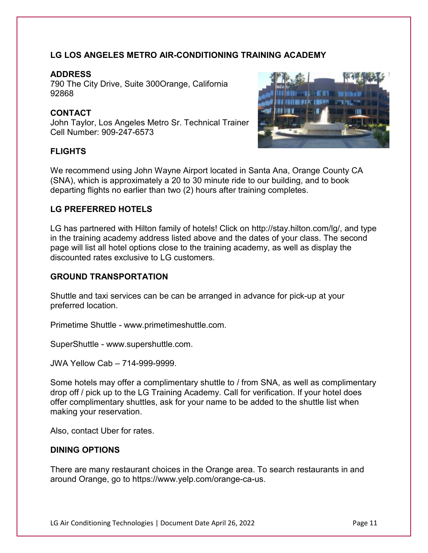# **LG LOS ANGELES METRO AIR-CONDITIONING TRAINING ACADEMY**

## **ADDRESS**

790 The City Drive, Suite 300Orange, California 92868

# **CONTACT**

John Taylor, Los Angeles Metro Sr. Technical Trainer Cell Number: 909-247-6573

# **FLIGHTS**



We recommend using John Wayne Airport located in Santa Ana, Orange County CA (SNA), which is approximately a 20 to 30 minute ride to our building, and to book departing flights no earlier than two (2) hours after training completes.

# **LG PREFERRED HOTELS**

LG has partnered with Hilton family of hotels! Click on http://stay.hilton.com/lg/, and type in the training academy address listed above and the dates of your class. The second page will list all hotel options close to the training academy, as well as display the discounted rates exclusive to LG customers.

#### **GROUND TRANSPORTATION**

Shuttle and taxi services can be can be arranged in advance for pick-up at your preferred location.

Primetime Shuttle - www.primetimeshuttle.com.

SuperShuttle - www.supershuttle.com.

JWA Yellow Cab – 714-999-9999.

Some hotels may offer a complimentary shuttle to / from SNA, as well as complimentary drop off / pick up to the LG Training Academy. Call for verification. If your hotel does offer complimentary shuttles, ask for your name to be added to the shuttle list when making your reservation.

Also, contact Uber for rates.

## **DINING OPTIONS**

There are many restaurant choices in the Orange area. To search restaurants in and around Orange, go to https://www.yelp.com/orange-ca-us.